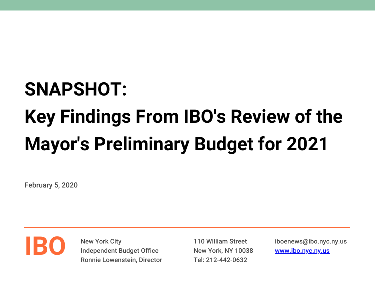## **SNAPSHOT:**

# **Key Findings From IBO's Review of the Mayor's Preliminary Budget for 2021**

February 5, 2020



New York City Independent Budget Office Ronnie Lowenstein, Director

110 William Street New York, NY 10038 Tel: 212-442-0632

iboenews@ibo.nyc.ny.us [www.ibo.nyc.ny.us](https://ibo.nyc.ny.us/)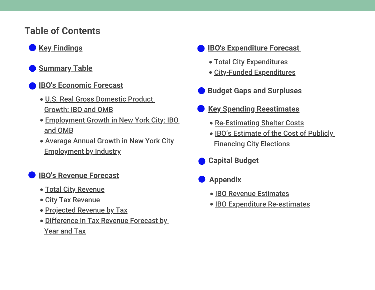## **Table of Contents**

## **Key Findings**

- **Summary Table**
- **IBO's Economic Forecast**
	- U.S. Real Gross Domestic Product Growth: IBO and OMB
	- $\mathcal{L}$  $\mathbb{R}^2$ Employment Growth in New York City: IBO and OMB
	- Average Annual Growth in New York City Employment by Industry

- T. Total City Revenue
- T. **City Tax Revenue**
- T. Projected Revenue by Tax
- Difference in Tax Revenue Forecast by Year and Tax
- **IBO's Expenditure Forecast**
	- T. Total City Expenditures
	- City-Funded Expenditures
- **Budget Gaps and Surpluses**
- **Key Spending Reestimates**
	- T. Re-Estimating Shelter Costs
	- IBO's Estimate of the Cost of Publicly Financing City Elections
- **Capital Budget**
- **Appendix**
	- T. IBO Revenue Estimates
	- **IBO Expenditure Re-estimates**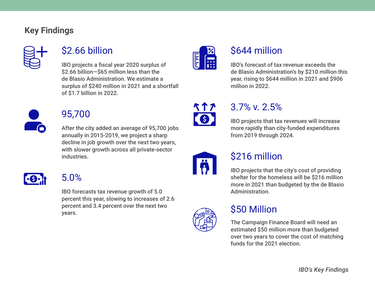#### **Key Findings**



## \$2.66 billion

IBO projects a fiscal year 2020 surplus of \$2.66 billion—\$65 million less than the de Blasio Administration. We estimate a surplus of \$240 million in 2021 and a shortfall of \$1.7 billion in 2022.



## 95,700

After the city added an average of 95,700 jobs annually in 2015-2019, we project a sharp decline in job growth over the next two years, with slower growth across all private-sector industries.



## 5.0%

IBO forecasts tax revenue growth of 5.0 percent this year, slowing to increases of 2.6 percent and 3.4 percent over the next two years.



## \$644 million

IBO's forecast of tax revenue exceeds the de Blasio Administration's by \$210 million this year, rising to \$644 million in 2021 and \$906 million in 2022.



## 3.7% v. 2.5%

IBO projects that tax revenues will increase more rapidly than city-funded expenditures from 2019 through 2024.



## \$216 million

IBO projects that the city's cost of providing shelter for the homeless will be \$216 million more in 2021 than budgeted by the de Blasio Administration.



## \$50 Million

The Campaign Finance Board will need an estimated \$50 million more than budgeted over two years to cover the cost of matching funds for the 2021 election.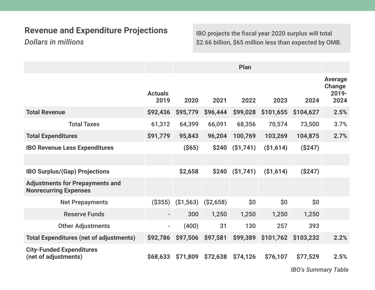## **Revenue and Expenditure Projections**

*Dollars in millions*

IBO projects the fiscal year 2020 surplus will total \$2.66 billion, \$65 million less than expected by OMB.

|                                                                        |                          | Plan       |            |            |            |           |                                           |  |  |
|------------------------------------------------------------------------|--------------------------|------------|------------|------------|------------|-----------|-------------------------------------------|--|--|
|                                                                        | <b>Actuals</b><br>2019   | 2020       | 2021       | 2022       | 2023       | 2024      | <b>Average</b><br>Change<br>2019-<br>2024 |  |  |
| <b>Total Revenue</b>                                                   | \$92,436                 | \$95,779   | \$96,444   | \$99,028   | \$101,655  | \$104,627 | 2.5%                                      |  |  |
| <b>Total Taxes</b>                                                     | 61,312                   | 64,399     | 66,091     | 68,356     | 70,574     | 73,500    | 3.7%                                      |  |  |
| <b>Total Expenditures</b>                                              | \$91,779                 | 95,843     | 96,204     | 100,769    | 103,269    | 104,875   | 2.7%                                      |  |  |
| <b>IBO Revenue Less Expenditures</b>                                   |                          | $($ \$65)  | \$240      | ( \$1,741) | ( \$1,614) | (S247)    |                                           |  |  |
|                                                                        |                          |            |            |            |            |           |                                           |  |  |
| <b>IBO Surplus/(Gap) Projections</b>                                   |                          | \$2,658    | \$240      | (S1,741)   | (\$1,614)  | (S247)    |                                           |  |  |
| <b>Adjustments for Prepayments and</b><br><b>Nonrecurring Expenses</b> |                          |            |            |            |            |           |                                           |  |  |
| <b>Net Prepayments</b>                                                 | ( \$355)                 | ( \$1,563) | ( \$2,658) | \$0        | \$0        | \$0\$     |                                           |  |  |
| <b>Reserve Funds</b>                                                   | $\overline{\phantom{0}}$ | 300        | 1,250      | 1,250      | 1,250      | 1,250     |                                           |  |  |
| <b>Other Adjustments</b>                                               | $\blacksquare$           | (400)      | 31         | 130        | 257        | 393       |                                           |  |  |
| <b>Total Expenditures (net of adjustments)</b>                         | \$92,786                 | \$97,506   | \$97,581   | \$99,389   | \$101,762  | \$103,232 | 2.2%                                      |  |  |
| <b>City-Funded Expenditures</b><br>(net of adjustments)                | \$68,633                 | \$71,809   | \$72,638   | \$74,126   | \$76,107   | \$77,529  | 2.5%                                      |  |  |

*IBO's Summary Table*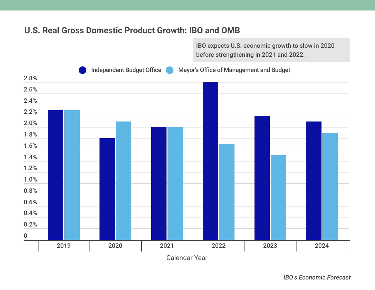#### **U.S. Real Gross Domestic Product Growth: IBO and OMB**

IBO expects U.S. economic growth to slow in 2020 before strengthening in 2021 and 2022.



*IBO's Economic Forecast*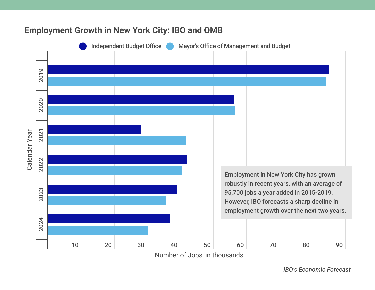

#### **Employment Growth in New York City: IBO and OMB**

*IBO's Economic Forecast*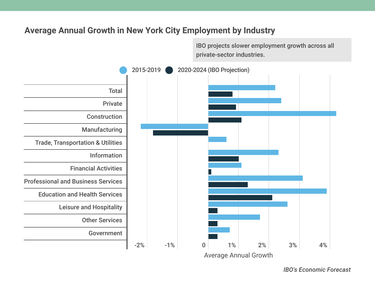#### **Average Annual Growth in New York City Employment by Industry**

IBO projects slower employment growth across all private-sector industries.



*IBO's Economic Forecast*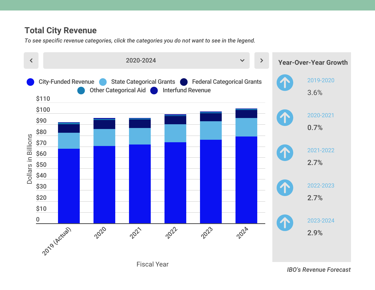*To see specific revenue categories, click the categories you do not want to see in the legend.*

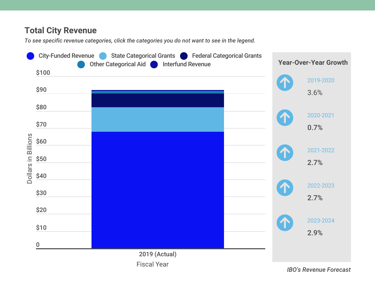*To see specific revenue categories, click the categories you do not want to see in the legend.*

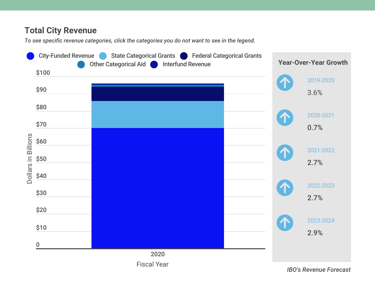*To see specific revenue categories, click the categories you do not want to see in the legend.*

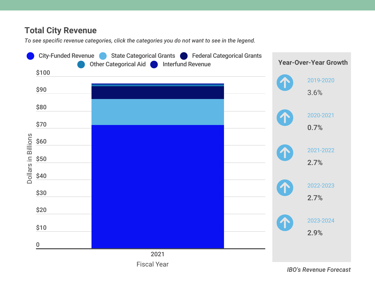*To see specific revenue categories, click the categories you do not want to see in the legend.*



Fiscal Year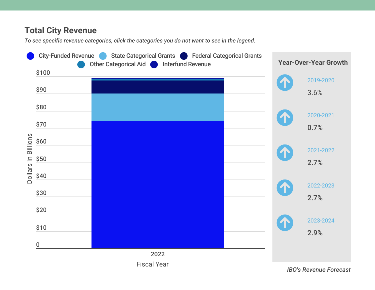*To see specific revenue categories, click the categories you do not want to see in the legend.*



Fiscal Year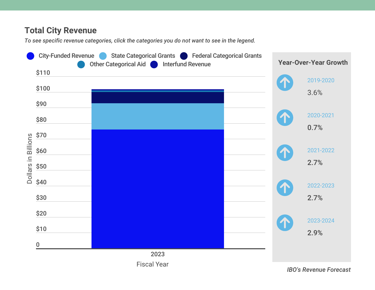*To see specific revenue categories, click the categories you do not want to see in the legend.*

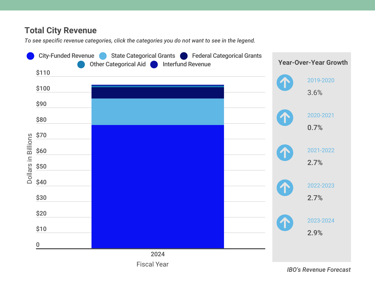*To see specific revenue categories, click the categories you do not want to see in the legend.*



Fiscal Year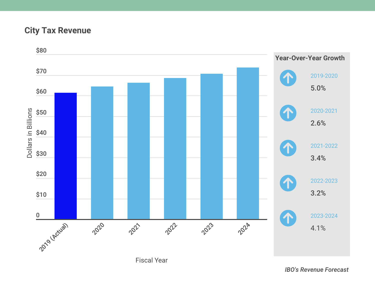#### **City Tax Revenue**

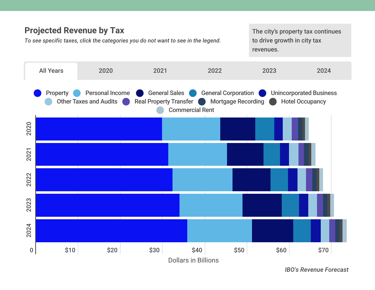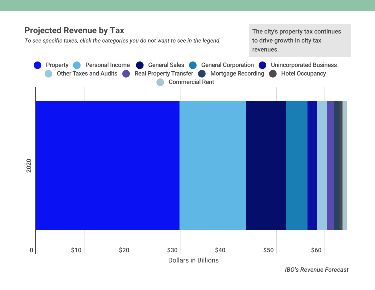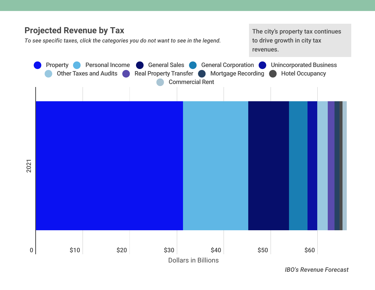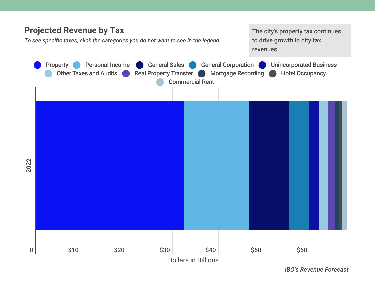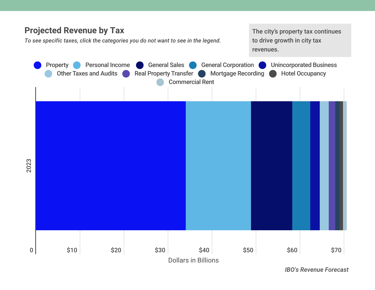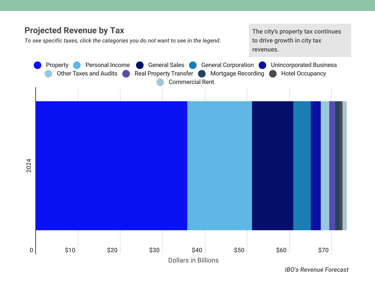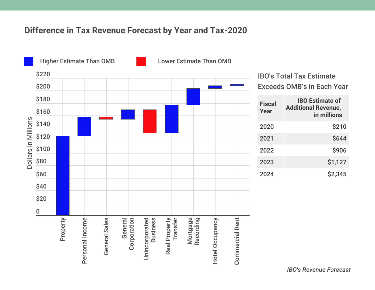

| Fiscal<br>Year | <b>IBO Estimate of</b><br><b>Additional Revenue,</b><br>in millions |
|----------------|---------------------------------------------------------------------|
| 2020           | \$210                                                               |
| 2021           | <b>\$644</b>                                                        |
| 2022           | \$906                                                               |
| 2023           | \$1,127                                                             |
| 2024           | \$2,345                                                             |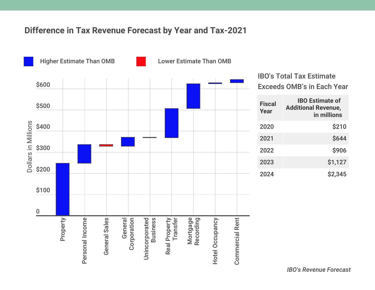

| <b>Fiscal</b><br>Year | <b>IBO Estimate of</b><br><b>Additional Revenue,</b><br>in millions |
|-----------------------|---------------------------------------------------------------------|
| 2020                  | \$210                                                               |
| 2021                  | \$644                                                               |
| 2022                  | \$906                                                               |
| 2023                  | \$1,127                                                             |
| 2024                  | \$2,345                                                             |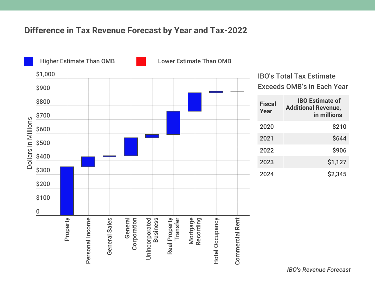

| <b>Fiscal</b><br>Year | <b>IBO Estimate of</b><br><b>Additional Revenue,</b><br>in millions |
|-----------------------|---------------------------------------------------------------------|
| 2020                  | \$210                                                               |
| 2021                  | \$644                                                               |
| 2022                  | \$906                                                               |
| 2023                  | \$1,127                                                             |
| 2024                  | \$2,345                                                             |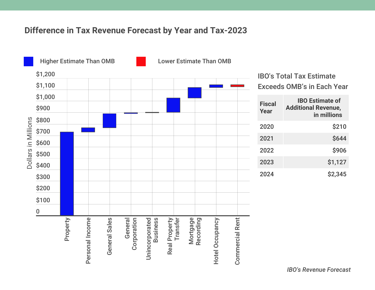

| <b>Fiscal</b><br>Year | <b>IBO Estimate of</b><br><b>Additional Revenue,</b><br>in millions |
|-----------------------|---------------------------------------------------------------------|
| 2020                  | \$210                                                               |
| 2021                  | <b>\$644</b>                                                        |
| 2022                  | \$906                                                               |
| 2023                  | \$1,127                                                             |
| 2024                  | \$2,345                                                             |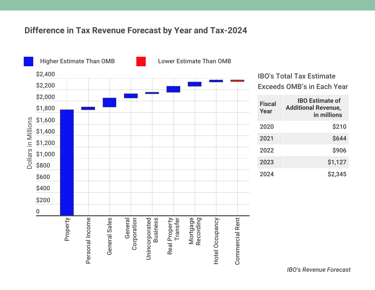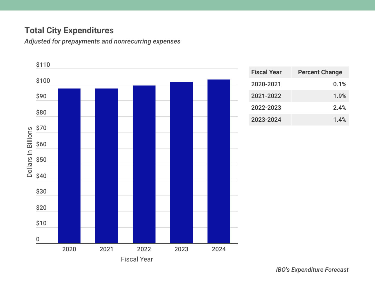## **Total City Expenditures**

*Adjusted for prepayments and nonrecurring expenses*



| <b>Fiscal Year</b> | <b>Percent Change</b> |  |  |  |  |
|--------------------|-----------------------|--|--|--|--|
| 2020-2021          | 0.1%                  |  |  |  |  |
| 2021-2022          | 1.9%                  |  |  |  |  |
| 2022-2023          | 2.4%                  |  |  |  |  |
| 2023-2024          | 1.4%                  |  |  |  |  |

*IBO's Expenditure Forecast*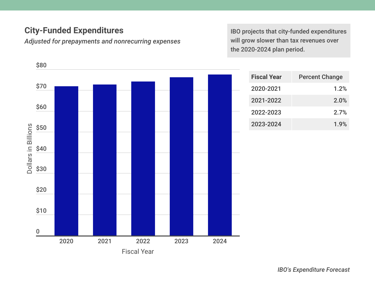## **City-Funded Expenditures**

*Adjusted for prepayments and nonrecurring expenses*

IBO projects that city-funded expenditures will grow slower than tax revenues over the 2020-2024 plan period.



| <b>Fiscal Year</b> | <b>Percent Change</b> |
|--------------------|-----------------------|
| 2020-2021          | 1.2%                  |
| 2021-2022          | 2.0%                  |
| 2022-2023          | 2.7%                  |
| 2023-2024          | 1.9%                  |

*IBO's Expenditure Forecast*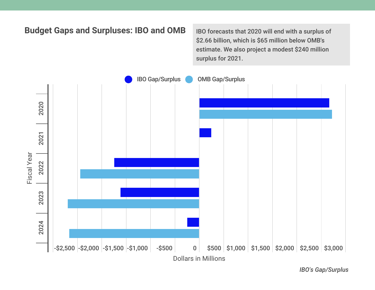

*IBO's Gap/Surplus*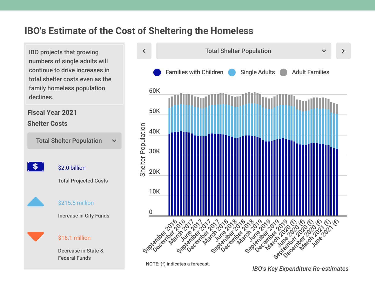IBO projects that growing numbers of single adults will continue to drive increases in total shelter costs even as the family homeless population declines.

**Fiscal Year 2021 Shelter Costs**

Total Shelter Population  $\checkmark$  $\mathbf{s}$ \$2.0 billion Total Projected Costs \$215.5 million Increase in City Funds \$16.1 million Decrease in State & Federal Funds



NOTE: (f) indicates a forecast.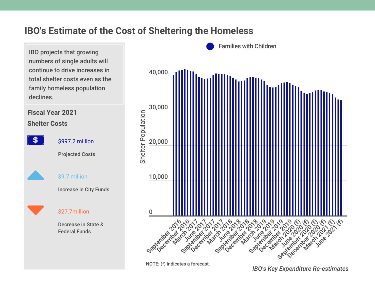IBO projects that growing numbers of single adults will continue to drive increases in total shelter costs even as the family homeless population declines.

#### **Fiscal Year 2021 Shelter Costs**



\$997.2 million

Projected Costs



#### \$9.7 million

Increase in City Funds



#### \$27.7million

Decrease in State & Federal Funds



NOTE: (f) indicates a forecast.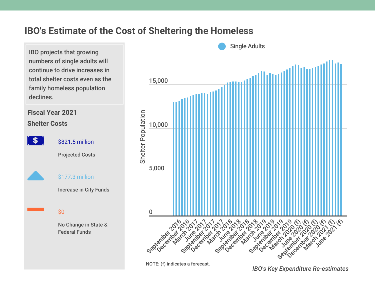IBO projects that growing numbers of single adults will continue to drive increases in total shelter costs even as the family homeless population declines.

#### **Fiscal Year 2021 Shelter Costs**

- \$

\$821.5 million

Projected Costs

\$177.3 million

Increase in City Funds

\$0

No Change in State & Federal Funds



NOTE: (f) indicates a forecast.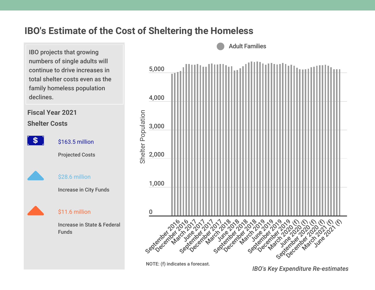IBO projects that growing numbers of single adults will continue to drive increases in total shelter costs even as the family homeless population declines.

**Fiscal Year 2021 Shelter Costs**

 $\mathbf{s}$ 

\$163.5 million

Projected Costs



\$28.6 million

Increase in City Funds



#### \$11.6 million

Increase in State & Federal Funds



NOTE: (f) indicates a forecast.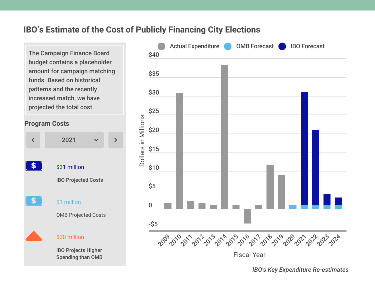#### **IBO's Estimate of the Cost of Publicly Financing City Elections**

The Campaign Finance Board budget contains a placeholder amount for campaign matching funds. Based on historical patterns and the recently increased match, we have projected the total cost.





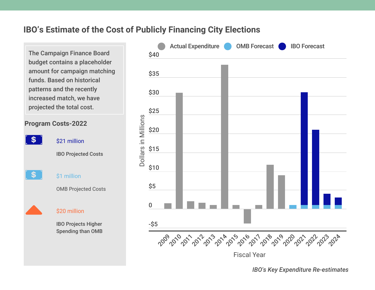#### **IBO's Estimate of the Cost of Publicly Financing City Elections**

The Campaign Finance Board budget contains a placeholder amount for campaign matching funds. Based on historical patterns and the recently increased match, we have projected the total cost.



IBO Projects Higher Spending than OMB

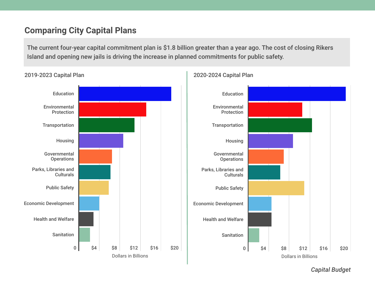#### **Comparing City Capital Plans**

The current four-year capital commitment plan is \$1.8 billion greater than a year ago. The cost of closing Rikers Island and opening new jails is driving the increase in planned commitments for public safety.







*Capital Budget*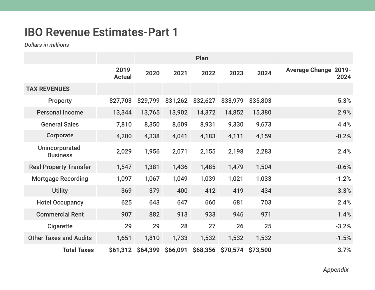## **IBO Revenue Estimates-Part 1**

*Dollars in millions*

|                                   | 2019<br><b>Actual</b> | 2020     | 2021     | 2022     | 2023     | 2024     | 2019-<br><b>Average Change</b><br>2024 |
|-----------------------------------|-----------------------|----------|----------|----------|----------|----------|----------------------------------------|
| <b>TAX REVENUES</b>               |                       |          |          |          |          |          |                                        |
| <b>Property</b>                   | \$27,703              | \$29,799 | \$31,262 | \$32,627 | \$33,979 | \$35,803 | 5.3%                                   |
| <b>Personal Income</b>            | 13,344                | 13,765   | 13,902   | 14,372   | 14,852   | 15,380   | 2.9%                                   |
| <b>General Sales</b>              | 7,810                 | 8,350    | 8,609    | 8,931    | 9,330    | 9,673    | 4.4%                                   |
| Corporate                         | 4,200                 | 4,338    | 4,041    | 4,183    | 4,111    | 4,159    | $-0.2%$                                |
| Unincorporated<br><b>Business</b> | 2,029                 | 1,956    | 2,071    | 2,155    | 2,198    | 2,283    | 2.4%                                   |
| <b>Real Property Transfer</b>     | 1,547                 | 1,381    | 1,436    | 1,485    | 1,479    | 1,504    | $-0.6%$                                |
| <b>Mortgage Recording</b>         | 1,097                 | 1,067    | 1,049    | 1,039    | 1,021    | 1,033    | $-1.2%$                                |
| <b>Utility</b>                    | 369                   | 379      | 400      | 412      | 419      | 434      | 3.3%                                   |
| <b>Hotel Occupancy</b>            | 625                   | 643      | 647      | 660      | 681      | 703      | 2.4%                                   |
| <b>Commercial Rent</b>            | 907                   | 882      | 913      | 933      | 946      | 971      | 1.4%                                   |
| <b>Cigarette</b>                  | 29                    | 29       | 28       | 27       | 26       | 25       | $-3.2%$                                |
| <b>Other Taxes and Audits</b>     | 1,651                 | 1,810    | 1,733    | 1,532    | 1,532    | 1,532    | $-1.5%$                                |
| <b>Total Taxes</b>                | \$61,312              | \$64,399 | \$66,091 | \$68,356 | \$70,574 | \$73,500 | 3.7%                                   |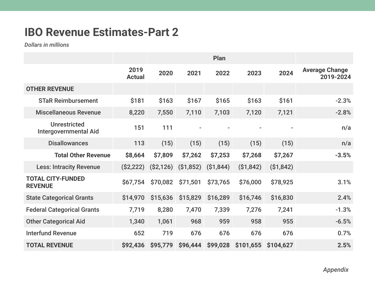## **IBO Revenue Estimates-Part 2**

*Dollars in millions*

|                                                     | 2019<br><b>Actual</b> | 2020      | 2021       | 2022       | 2023      | 2024       | <b>Average Change</b><br>2019-2024 |
|-----------------------------------------------------|-----------------------|-----------|------------|------------|-----------|------------|------------------------------------|
| <b>OTHER REVENUE</b>                                |                       |           |            |            |           |            |                                    |
| <b>STaR Reimbursement</b>                           | \$181                 | \$163     | \$167      | \$165      | \$163     | \$161      | $-2.3%$                            |
| <b>Miscellaneous Revenue</b>                        | 8,220                 | 7,550     | 7,110      | 7,103      | 7,120     | 7,121      | $-2.8%$                            |
| <b>Unrestricted</b><br><b>Intergovernmental Aid</b> | 151                   | 111       |            |            |           |            | n/a                                |
| <b>Disallowances</b>                                | 113                   | (15)      | (15)       | (15)       | (15)      | (15)       | n/a                                |
| <b>Total Other Revenue</b>                          | \$8,664               | \$7,809   | \$7,262    | \$7,253    | \$7,268   | \$7,267    | $-3.5%$                            |
| <b>Less: Intracity Revenue</b>                      | (S2, 222)             | (S2, 126) | ( \$1,852) | ( \$1,844) | (S1, 842) | ( \$1,842) |                                    |
| <b>TOTAL CITY-FUNDED</b><br><b>REVENUE</b>          | \$67,754              | \$70,082  | \$71,501   | \$73,765   | \$76,000  | \$78,925   | 3.1%                               |
| <b>State Categorical Grants</b>                     | \$14,970              | \$15,636  | \$15,829   | \$16,289   | \$16,746  | \$16,830   | 2.4%                               |
| <b>Federal Categorical Grants</b>                   | 7,719                 | 8,280     | 7,470      | 7,339      | 7,276     | 7,241      | $-1.3%$                            |
| <b>Other Categorical Aid</b>                        | 1,340                 | 1,061     | 968        | 959        | 958       | 955        | $-6.5%$                            |
| <b>Interfund Revenue</b>                            | 652                   | 719       | 676        | 676        | 676       | 676        | 0.7%                               |
| <b>TOTAL REVENUE</b>                                | \$92,436              | \$95,779  | \$96,444   | \$99,028   | \$101,655 | \$104,627  | 2.5%                               |